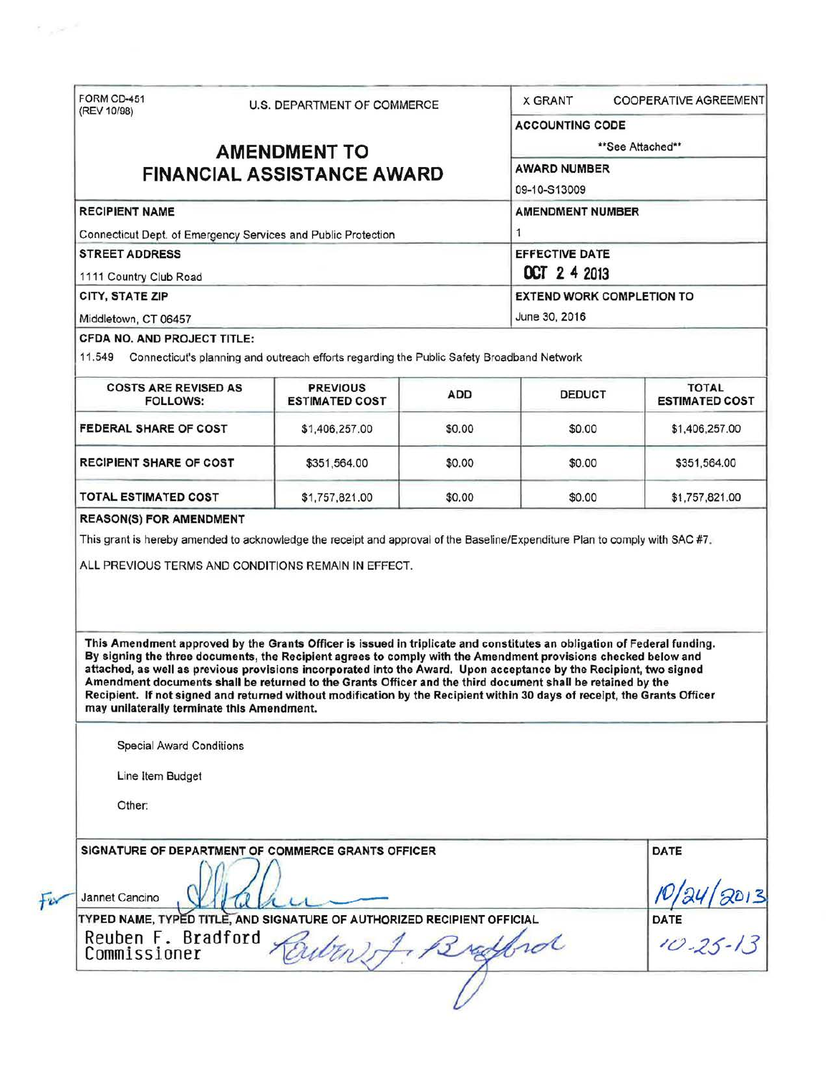| (REV 10/98)                                                   |  | <b>U.S. DEPARTMENT OF COMMERCE</b>                                                                                                                                                                                                                                                                                                                                                                                                                                                                                                                                                                          |                                  | <b>COOPERATIVE AGREEMENT</b><br><b>X GRANT</b> |                                         |  |
|---------------------------------------------------------------|--|-------------------------------------------------------------------------------------------------------------------------------------------------------------------------------------------------------------------------------------------------------------------------------------------------------------------------------------------------------------------------------------------------------------------------------------------------------------------------------------------------------------------------------------------------------------------------------------------------------------|----------------------------------|------------------------------------------------|-----------------------------------------|--|
|                                                               |  |                                                                                                                                                                                                                                                                                                                                                                                                                                                                                                                                                                                                             |                                  | <b>ACCOUNTING CODE</b>                         |                                         |  |
| <b>AMENDMENT TO</b>                                           |  |                                                                                                                                                                                                                                                                                                                                                                                                                                                                                                                                                                                                             | **See Attached**                 |                                                |                                         |  |
|                                                               |  | <b>FINANCIAL ASSISTANCE AWARD</b>                                                                                                                                                                                                                                                                                                                                                                                                                                                                                                                                                                           |                                  | <b>AWARD NUMBER</b>                            |                                         |  |
|                                                               |  | 09-10-S13009                                                                                                                                                                                                                                                                                                                                                                                                                                                                                                                                                                                                |                                  |                                                |                                         |  |
| <b>RECIPIENT NAME</b>                                         |  |                                                                                                                                                                                                                                                                                                                                                                                                                                                                                                                                                                                                             |                                  | <b>AMENDMENT NUMBER</b>                        |                                         |  |
| Connecticut Dept. of Emergency Services and Public Protection |  |                                                                                                                                                                                                                                                                                                                                                                                                                                                                                                                                                                                                             | 1                                |                                                |                                         |  |
| <b>STREET ADDRESS</b>                                         |  | EFFECTIVE DATE<br><b>OCT 2 4 2013</b>                                                                                                                                                                                                                                                                                                                                                                                                                                                                                                                                                                       |                                  |                                                |                                         |  |
| 1111 Country Club Road                                        |  |                                                                                                                                                                                                                                                                                                                                                                                                                                                                                                                                                                                                             |                                  |                                                |                                         |  |
| CITY, STATE ZIP                                               |  |                                                                                                                                                                                                                                                                                                                                                                                                                                                                                                                                                                                                             | <b>EXTEND WORK COMPLETION TO</b> |                                                |                                         |  |
| Middletown, CT 06457                                          |  |                                                                                                                                                                                                                                                                                                                                                                                                                                                                                                                                                                                                             |                                  | June 30, 2016                                  |                                         |  |
| CFDA NO. AND PROJECT TITLE:                                   |  | 11,549 Connecticut's planning and outreach efforts regarding the Public Safety Broadband Network                                                                                                                                                                                                                                                                                                                                                                                                                                                                                                            |                                  |                                                |                                         |  |
| <b>COSTS ARE REVISED AS</b><br><b>FOLLOWS:</b>                |  | <b>PREVIOUS</b><br><b>ESTIMATED COST</b>                                                                                                                                                                                                                                                                                                                                                                                                                                                                                                                                                                    | ADD                              | <b>DEDUCT</b>                                  | <b>TOTAL</b><br><b>ESTIMATED COST</b>   |  |
| FEDERAL SHARE OF COST                                         |  | \$1,406,257.00                                                                                                                                                                                                                                                                                                                                                                                                                                                                                                                                                                                              | \$0.00                           | \$0.00                                         | \$1,406,257.00                          |  |
| <b>RECIPIENT SHARE OF COST</b>                                |  | \$351,564.00                                                                                                                                                                                                                                                                                                                                                                                                                                                                                                                                                                                                | \$0.00                           | \$0.00                                         | \$351,564.00                            |  |
| <b>TOTAL ESTIMATED COST</b>                                   |  | \$1,757,821.00                                                                                                                                                                                                                                                                                                                                                                                                                                                                                                                                                                                              | \$0.00                           | \$0.00                                         | \$1,757,821.00                          |  |
|                                                               |  | ALL PREVIOUS TERMS AND CONDITIONS REMAIN IN EFFECT.                                                                                                                                                                                                                                                                                                                                                                                                                                                                                                                                                         |                                  |                                                |                                         |  |
|                                                               |  | This Amendment approved by the Grants Officer is issued in triplicate and constitutes an obligation of Federal funding.<br>By signing the three documents, the Recipient agrees to comply with the Amendment provisions checked below and<br>attached, as well as previous provisions incorporated into the Award. Upon acceptance by the Recipient, two signed<br>Amendment documents shall be returned to the Grants Officer and the third document shall be retained by the<br>Recipient. If not signed and returned without modification by the Recipient within 30 days of receipt, the Grants Officer |                                  |                                                |                                         |  |
| may unilaterally terminate this Amendment.                    |  |                                                                                                                                                                                                                                                                                                                                                                                                                                                                                                                                                                                                             |                                  |                                                |                                         |  |
| <b>Special Award Conditions</b>                               |  |                                                                                                                                                                                                                                                                                                                                                                                                                                                                                                                                                                                                             |                                  |                                                |                                         |  |
| Line Item Budget                                              |  |                                                                                                                                                                                                                                                                                                                                                                                                                                                                                                                                                                                                             |                                  |                                                |                                         |  |
| Other:                                                        |  |                                                                                                                                                                                                                                                                                                                                                                                                                                                                                                                                                                                                             |                                  |                                                |                                         |  |
|                                                               |  | SIGNATURE OF DEPARTMENT OF COMMERCE GRANTS OFFICER                                                                                                                                                                                                                                                                                                                                                                                                                                                                                                                                                          |                                  |                                                | <b>DATE</b>                             |  |
| Jannet Cancino                                                |  | TYPED NAME, TYPED TITLE, AND SIGNATURE OF AUTHORIZED RECIPIENT OFFICIAL                                                                                                                                                                                                                                                                                                                                                                                                                                                                                                                                     |                                  |                                                | $\frac{N}{24/2013}$<br>DATE<br>10-25-13 |  |

 $\sim$  $\overline{\epsilon}$